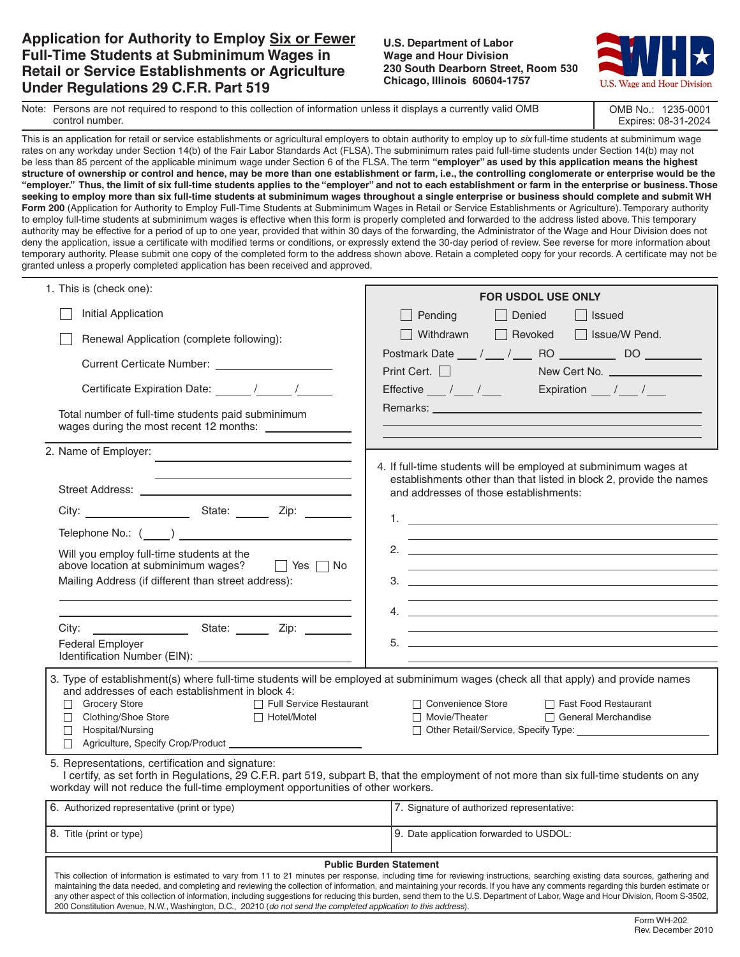## **Application for Authority to Employ Six or Fewer Full-Time Students at Subminimum Wages in Retail or Service Establishments or Agriculture Under Regulations 29 C.F.R. Part 519**

## **U.S. Department of Labor Wage and Hour Division 230 South Dearborn Street, Room 530 Chicago, Illinois 60604-1757**



OMB No.: 1235-0001 Expires: 08-31-2024

| Note: Persons are not required to respond to this collection of information unless it displays a currently valid OMB |
|----------------------------------------------------------------------------------------------------------------------|
| control number.                                                                                                      |

This is an application for retail or service establishments or agricultural employers to obtain authority to employ up to *six* full-time students at subminimum wage rates on any workday under Section 14(b) of the Fair Labor Standards Act (FLSA). The subminimum rates paid full-time students under Section 14(b) may not be less than 85 percent of the applicable minimum wage under Section 6 of the FLSA. The term **"employer" as used by this application means the highest structure of ownership or control and hence, may be more than one establishment or farm, i.e., the controlling conglomerate or enterprise would be the "employer." Thus, the limit of six full-time students applies to the "employer" and not to each establishment or farm in the enterprise or business. Those seeking to employ more than six full-time students at subminimum wages throughout a single enterprise or business should complete and submit WH Form 200** (Application for Authority to Employ Full-Time Students at Subminimum Wages in Retail or Service Establishments or Agriculture). Temporary authority to employ full-time students at subminimum wages is effective when this form is properly completed and forwarded to the address listed above. This temporary authority may be effective for a period of up to one year, provided that within 30 days of the forwarding, the Administrator of the Wage and Hour Division does not deny the application, issue a certificate with modified terms or conditions, or expressly extend the 30-day period of review. See reverse for more information about temporary authority. Please submit one copy of the completed form to the address shown above. Retain a completed copy for your records. A certificate may not be granted unless a properly completed application has been received and approved.

| 1. This is (check one):                                                                                                                                                                                                                                                                                                                                                | <b>FOR USDOL USE ONLY</b>                                                                                                                                                                                                     |  |  |
|------------------------------------------------------------------------------------------------------------------------------------------------------------------------------------------------------------------------------------------------------------------------------------------------------------------------------------------------------------------------|-------------------------------------------------------------------------------------------------------------------------------------------------------------------------------------------------------------------------------|--|--|
| Initial Application                                                                                                                                                                                                                                                                                                                                                    | $\Box$ Pending<br>Denied<br>$\vert$   Issued                                                                                                                                                                                  |  |  |
| Renewal Application (complete following):                                                                                                                                                                                                                                                                                                                              | $\Box$ Withdrawn<br>Revoked Sisue/W Pend.                                                                                                                                                                                     |  |  |
|                                                                                                                                                                                                                                                                                                                                                                        | Postmark Date __ / __ / __ RO __________ DO _________                                                                                                                                                                         |  |  |
|                                                                                                                                                                                                                                                                                                                                                                        | Print Cert. □                                                                                                                                                                                                                 |  |  |
|                                                                                                                                                                                                                                                                                                                                                                        | Effective $\frac{1}{\sqrt{2}}$ / $\frac{1}{\sqrt{2}}$ Expiration $\frac{1}{\sqrt{2}}$ / $\frac{1}{\sqrt{2}}$                                                                                                                  |  |  |
| Total number of full-time students paid subminimum<br>wages during the most recent 12 months:                                                                                                                                                                                                                                                                          | Remarks: Networking and the series of the series of the series of the series of the series of the series of the                                                                                                               |  |  |
| 2. Name of Employer:                                                                                                                                                                                                                                                                                                                                                   |                                                                                                                                                                                                                               |  |  |
|                                                                                                                                                                                                                                                                                                                                                                        | 4. If full-time students will be employed at subminimum wages at<br>establishments other than that listed in block 2, provide the names                                                                                       |  |  |
|                                                                                                                                                                                                                                                                                                                                                                        | and addresses of those establishments:                                                                                                                                                                                        |  |  |
|                                                                                                                                                                                                                                                                                                                                                                        |                                                                                                                                                                                                                               |  |  |
| Telephone No.: $(\_\_\_)$                                                                                                                                                                                                                                                                                                                                              |                                                                                                                                                                                                                               |  |  |
| Will you employ full-time students at the                                                                                                                                                                                                                                                                                                                              | 2. $\qquad \qquad$                                                                                                                                                                                                            |  |  |
| above location at subminimum wages? $\Box$ Yes $\Box$ No<br>Mailing Address (if different than street address):                                                                                                                                                                                                                                                        | the control of the control of the control of the control of the control of the control of the control of the control of the control of the control of the control of the control of the control of the control of the control |  |  |
|                                                                                                                                                                                                                                                                                                                                                                        |                                                                                                                                                                                                                               |  |  |
|                                                                                                                                                                                                                                                                                                                                                                        |                                                                                                                                                                                                                               |  |  |
|                                                                                                                                                                                                                                                                                                                                                                        | and the control of the control of the control of the control of the control of the control of the control of the                                                                                                              |  |  |
| Federal Employer                                                                                                                                                                                                                                                                                                                                                       |                                                                                                                                                                                                                               |  |  |
|                                                                                                                                                                                                                                                                                                                                                                        |                                                                                                                                                                                                                               |  |  |
| and addresses of each establishment in block 4:                                                                                                                                                                                                                                                                                                                        | 3. Type of establishment(s) where full-time students will be employed at subminimum wages (check all that apply) and provide names                                                                                            |  |  |
| Grocery Store<br>□ Full Service Restaurant                                                                                                                                                                                                                                                                                                                             | □ Convenience Store<br>□ Fast Food Restaurant                                                                                                                                                                                 |  |  |
| □ Clothing/Shoe Store<br>□ Hotel/Motel<br>Hospital/Nursing                                                                                                                                                                                                                                                                                                             | $\Box$ Movie/Theater<br>□ General Merchandise<br>□ Other Retail/Service, Specify Type: __________                                                                                                                             |  |  |
|                                                                                                                                                                                                                                                                                                                                                                        |                                                                                                                                                                                                                               |  |  |
| 5. Representations, certification and signature:                                                                                                                                                                                                                                                                                                                       |                                                                                                                                                                                                                               |  |  |
| workday will not reduce the full-time employment opportunities of other workers.                                                                                                                                                                                                                                                                                       | I certify, as set forth in Regulations, 29 C.F.R. part 519, subpart B, that the employment of not more than six full-time students on any                                                                                     |  |  |
| 6. Authorized representative (print or type)                                                                                                                                                                                                                                                                                                                           | 7. Signature of authorized representative:                                                                                                                                                                                    |  |  |
|                                                                                                                                                                                                                                                                                                                                                                        |                                                                                                                                                                                                                               |  |  |
| 8. Title (print or type)                                                                                                                                                                                                                                                                                                                                               | 9. Date application forwarded to USDOL:                                                                                                                                                                                       |  |  |
|                                                                                                                                                                                                                                                                                                                                                                        | <b>Public Burden Statement</b>                                                                                                                                                                                                |  |  |
| This collection of information is estimated to vary from 11 to 21 minutes per response, including time for reviewing instructions, searching existing data sources, gathering and<br>maintaining the data needed, and completing and reviewing the collection of information, and maintaining your records. If you have any comments regarding this burden estimate or |                                                                                                                                                                                                                               |  |  |
| any other aspect of this collection of information, including suggestions for reducing this burden, send them to the U.S. Department of Labor, Wage and Hour Division, Room S-3502,<br>200 Constitution Avenue, N.W., Washington, D.C., 20210 (do not send the completed application to this address).                                                                 |                                                                                                                                                                                                                               |  |  |
|                                                                                                                                                                                                                                                                                                                                                                        |                                                                                                                                                                                                                               |  |  |